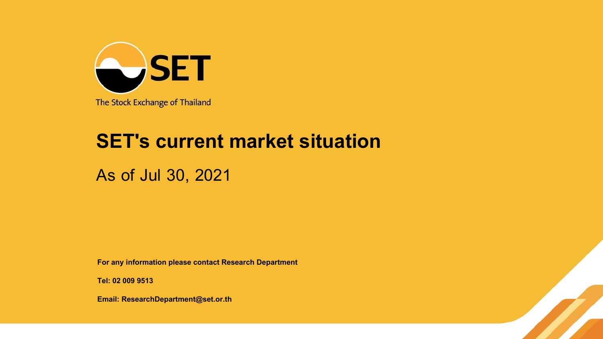

## **SET's current market situation**

As of Jul 30, 2021

**For any information please contact Research Department**

**Tel: 02 009 9513**

**Email: ResearchDepartment@set.or.th**

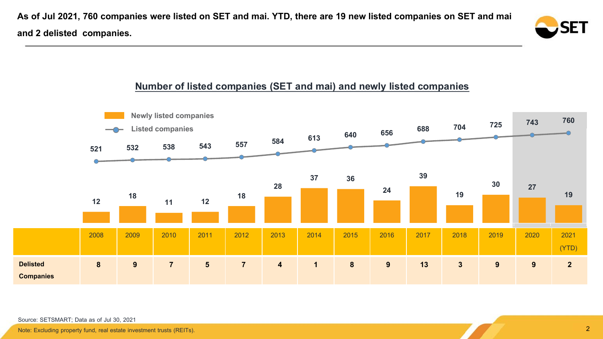**As of Jul 2021, 760 companies were listed on SET and mai. YTD, there are 19 new listed companies on SET and mai and 2 delisted companies.**



## **Number of listed companies (SET and mai) and newly listed companies**



Source: SETSMART; Data as of Jul 30, 2021

Note: Excluding property fund, real estate investment trusts (REITs).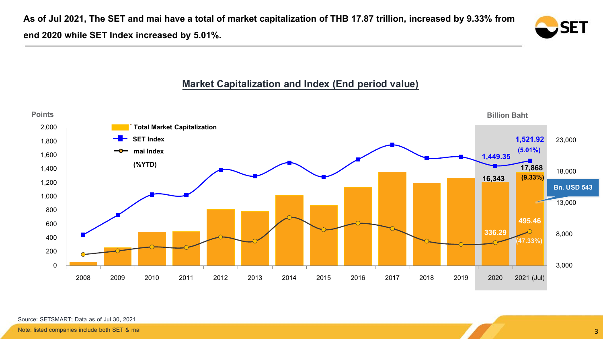**As of Jul 2021, The SET and maihave a total of market capitalization of THB 17.87 trillion, increased by 9.33% from end 2020 while SET Index increased by 5.01%.**

# SET

## **Market Capitalization and Index (End period value)**

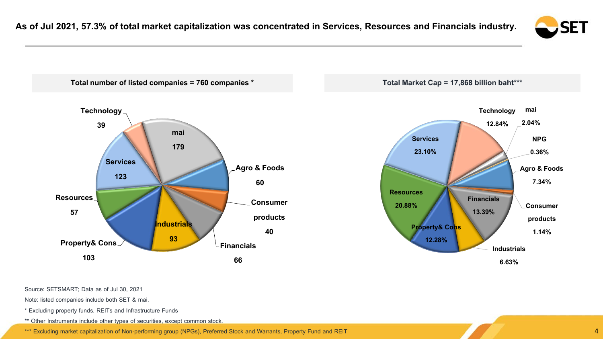



Source: SETSMART; Data as of Jul 30, 2021

Note: listed companies include both SET & mai.

\* Excluding property funds, REITs and Infrastructure Funds

\*\* Other Instruments include other types of securities, except common stock.

\*\*\* Excluding market capitalization of Non-performing group (NPGs), Preferred Stock and Warrants, Property Fund and REIT 44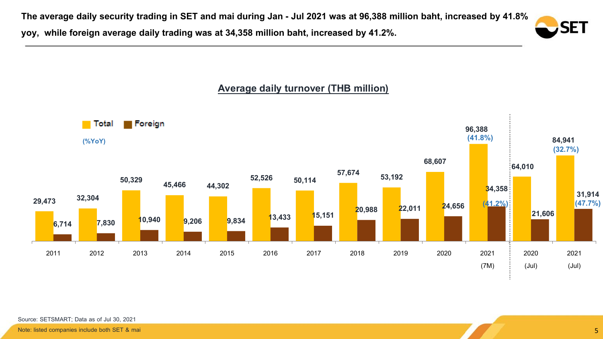**The average daily security trading in SET and maiduring Jan - Jul 2021 was at 96,388 million baht, increased by 41.8%**

**yoy, while foreign average daily trading was at 34,358 million baht, increased by 41.2%.**





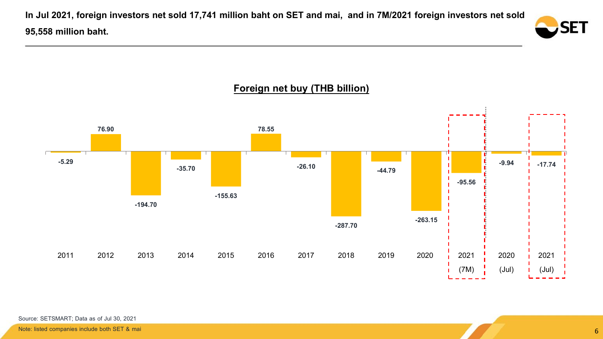**In Jul 2021, foreign investors net sold 17,741 million baht on SET and mai, and in 7M/2021 foreign investors net sold 95,558 million baht.**





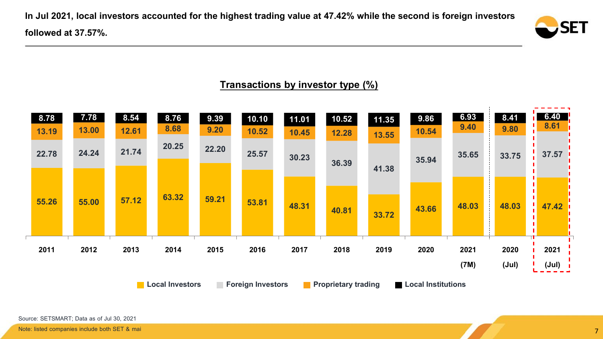**In Jul 2021, local investors accounted for the highest trading value at 47.42% while the second is foreign investors followed at 37.57%.**



## **Transactions by investor type (%)**

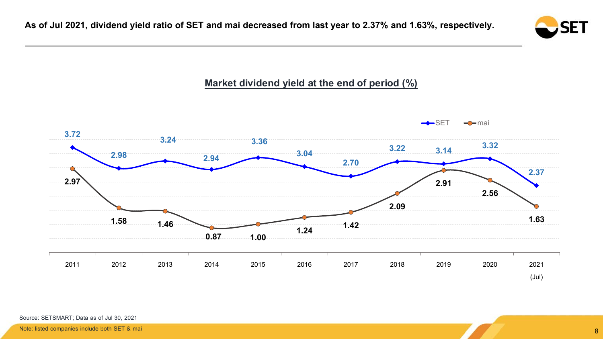

## **Market dividend yield at the end of period (%)**

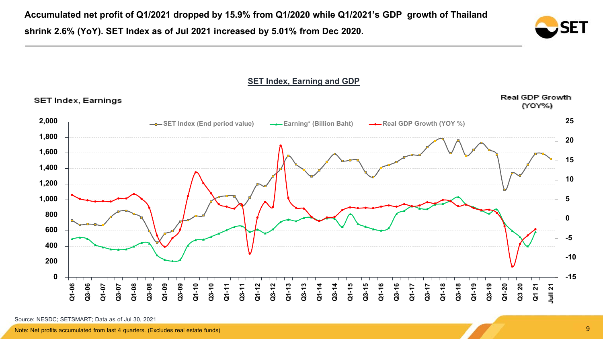



**SET Index, Earning and GDP**

Source: NESDC; SETSMART; Data as of Jul 30, 2021

Note: Net profits accumulated from last 4 quarters. (Excludes real estate funds)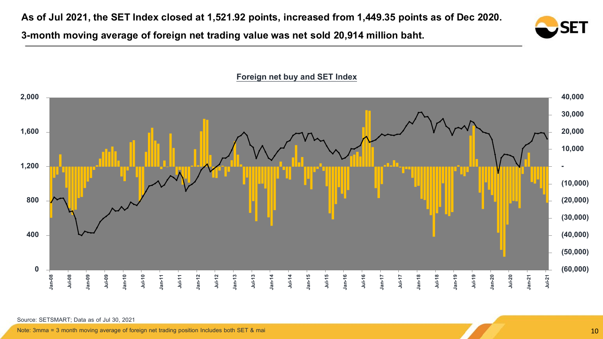**As of Jul 2021, the SET Index closed at 1,521.92 points, increased from 1,449.35 points as of Dec 2020.** 

**3-month moving average of foreign net trading value was net sold 20,914 million baht.**





**Foreign net buy and SET Index**

Source: SETSMART; Data as of Jul 30, 2021

Note: 3mma = 3 month moving average of foreign net trading position Includes both SET & mai 10 movies and 10 movies and 10 movies are also that the contract of the contract of the contract of the contract of the contract o